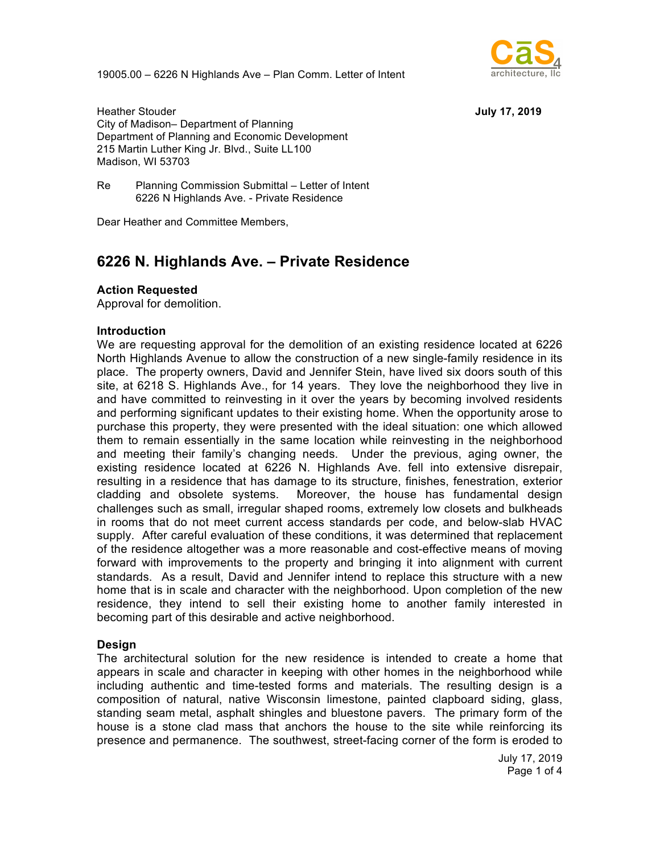19005.00 – 6226 N Highlands Ave – Plan Comm. Letter of Intent



Heather Stouder **July 17, 2019** City of Madison– Department of Planning Department of Planning and Economic Development 215 Martin Luther King Jr. Blvd., Suite LL100 Madison, WI 53703

Re Planning Commission Submittal – Letter of Intent 6226 N Highlands Ave. - Private Residence

Dear Heather and Committee Members,

# **6226 N. Highlands Ave. – Private Residence**

#### **Action Requested**

Approval for demolition.

#### **Introduction**

We are requesting approval for the demolition of an existing residence located at 6226 North Highlands Avenue to allow the construction of a new single-family residence in its place. The property owners, David and Jennifer Stein, have lived six doors south of this site, at 6218 S. Highlands Ave., for 14 years. They love the neighborhood they live in and have committed to reinvesting in it over the years by becoming involved residents and performing significant updates to their existing home. When the opportunity arose to purchase this property, they were presented with the ideal situation: one which allowed them to remain essentially in the same location while reinvesting in the neighborhood and meeting their family's changing needs. Under the previous, aging owner, the existing residence located at 6226 N. Highlands Ave. fell into extensive disrepair, resulting in a residence that has damage to its structure, finishes, fenestration, exterior cladding and obsolete systems. Moreover, the house has fundamental design challenges such as small, irregular shaped rooms, extremely low closets and bulkheads in rooms that do not meet current access standards per code, and below-slab HVAC supply. After careful evaluation of these conditions, it was determined that replacement of the residence altogether was a more reasonable and cost-effective means of moving forward with improvements to the property and bringing it into alignment with current standards. As a result, David and Jennifer intend to replace this structure with a new home that is in scale and character with the neighborhood. Upon completion of the new residence, they intend to sell their existing home to another family interested in becoming part of this desirable and active neighborhood.

#### **Design**

The architectural solution for the new residence is intended to create a home that appears in scale and character in keeping with other homes in the neighborhood while including authentic and time-tested forms and materials. The resulting design is a composition of natural, native Wisconsin limestone, painted clapboard siding, glass, standing seam metal, asphalt shingles and bluestone pavers. The primary form of the house is a stone clad mass that anchors the house to the site while reinforcing its presence and permanence. The southwest, street-facing corner of the form is eroded to

> July 17, 2019 Page 1 of 4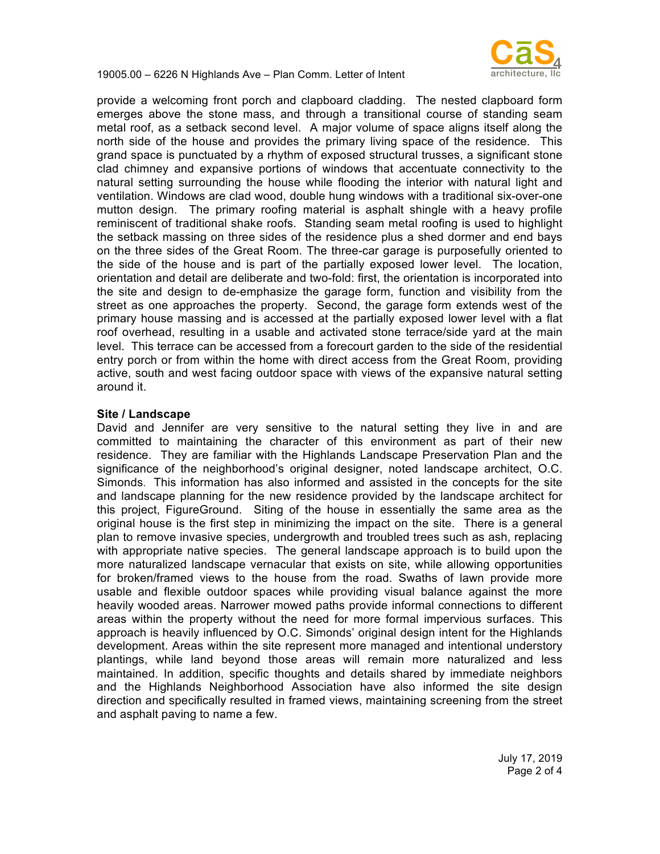19005.00 – 6226 N Highlands Ave – Plan Comm. Letter of Intent



provide a welcoming front porch and clapboard cladding. The nested clapboard form emerges above the stone mass, and through a transitional course of standing seam metal roof, as a setback second level. A major volume of space aligns itself along the north side of the house and provides the primary living space of the residence. This grand space is punctuated by a rhythm of exposed structural trusses, a significant stone clad chimney and expansive portions of windows that accentuate connectivity to the natural setting surrounding the house while flooding the interior with natural light and ventilation. Windows are clad wood, double hung windows with a traditional six-over-one mutton design. The primary roofing material is asphalt shingle with a heavy profile reminiscent of traditional shake roofs. Standing seam metal roofing is used to highlight the setback massing on three sides of the residence plus a shed dormer and end bays on the three sides of the Great Room. The three-car garage is purposefully oriented to the side of the house and is part of the partially exposed lower level. The location, orientation and detail are deliberate and two-fold: first, the orientation is incorporated into the site and design to de-emphasize the garage form, function and visibility from the street as one approaches the property. Second, the garage form extends west of the primary house massing and is accessed at the partially exposed lower level with a flat roof overhead, resulting in a usable and activated stone terrace/side yard at the main level. This terrace can be accessed from a forecourt garden to the side of the residential entry porch or from within the home with direct access from the Great Room, providing active, south and west facing outdoor space with views of the expansive natural setting around it.

### **Site / Landscape**

David and Jennifer are very sensitive to the natural setting they live in and are committed to maintaining the character of this environment as part of their new residence. They are familiar with the Highlands Landscape Preservation Plan and the significance of the neighborhood's original designer, noted landscape architect, O.C. Simonds. This information has also informed and assisted in the concepts for the site and landscape planning for the new residence provided by the landscape architect for this project, FigureGround. Siting of the house in essentially the same area as the original house is the first step in minimizing the impact on the site. There is a general plan to remove invasive species, undergrowth and troubled trees such as ash, replacing with appropriate native species. The general landscape approach is to build upon the more naturalized landscape vernacular that exists on site, while allowing opportunities for broken/framed views to the house from the road. Swaths of lawn provide more usable and flexible outdoor spaces while providing visual balance against the more heavily wooded areas. Narrower mowed paths provide informal connections to different areas within the property without the need for more formal impervious surfaces. This approach is heavily influenced by O.C. Simonds' original design intent for the Highlands development. Areas within the site represent more managed and intentional understory plantings, while land beyond those areas will remain more naturalized and less maintained. In addition, specific thoughts and details shared by immediate neighbors and the Highlands Neighborhood Association have also informed the site design direction and specifically resulted in framed views, maintaining screening from the street and asphalt paving to name a few.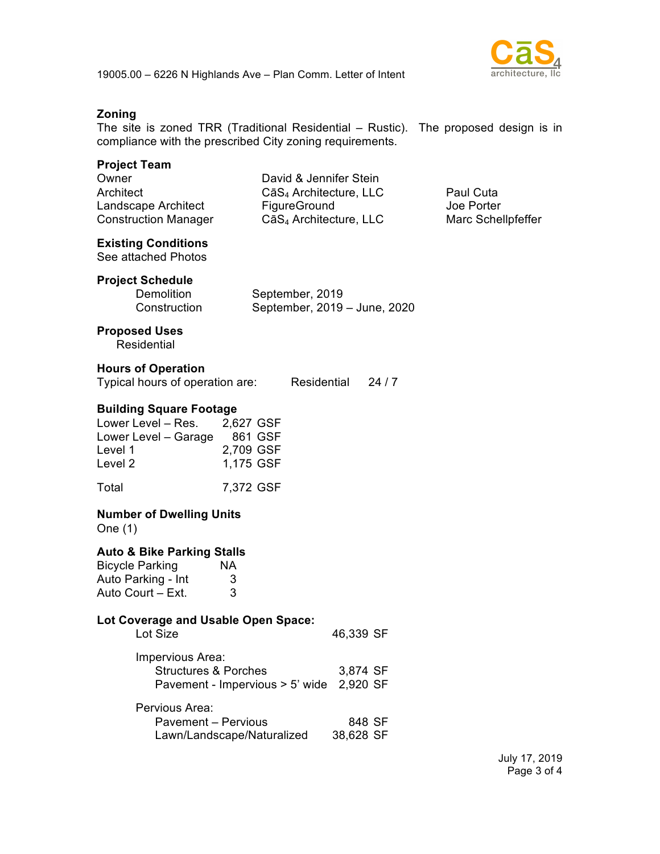



## **Zoning**

The site is zoned TRR (Traditional Residential – Rustic). The proposed design is in compliance with the prescribed City zoning requirements.

| <b>Project Team</b><br>Owner<br>Architect<br>Landscape Architect<br><b>Construction Manager</b>                                               | David & Jennifer Stein<br>CāS <sub>4</sub> Architecture, LLC<br>FigureGround<br>CāS <sub>4</sub> Architecture, LLC |                      |      | Paul Cuta<br>Joe Porter<br>Marc Schellpfeffer |
|-----------------------------------------------------------------------------------------------------------------------------------------------|--------------------------------------------------------------------------------------------------------------------|----------------------|------|-----------------------------------------------|
| <b>Existing Conditions</b><br>See attached Photos                                                                                             |                                                                                                                    |                      |      |                                               |
| <b>Project Schedule</b><br><b>Demolition</b><br>Construction                                                                                  | September, 2019<br>September, 2019 - June, 2020                                                                    |                      |      |                                               |
| <b>Proposed Uses</b><br>Residential                                                                                                           |                                                                                                                    |                      |      |                                               |
| <b>Hours of Operation</b><br>Typical hours of operation are: Residential                                                                      |                                                                                                                    |                      | 24/7 |                                               |
| <b>Building Square Footage</b><br>Lower Level - Res. 2,627 GSF<br>Lower Level - Garage 861 GSF<br>Level 1<br>Level 2                          | 2,709 GSF<br>1,175 GSF                                                                                             |                      |      |                                               |
| Total                                                                                                                                         | 7,372 GSF                                                                                                          |                      |      |                                               |
| <b>Number of Dwelling Units</b><br>One (1)                                                                                                    |                                                                                                                    |                      |      |                                               |
| Auto & Bike Parking Stalls<br><b>Bicycle Parking</b><br>Auto Parking - Int<br>Auto Court – Ext.<br><b>Lot Coverage and Usable Open Space:</b> | NA.<br>3<br>3                                                                                                      |                      |      |                                               |
| Lot Size                                                                                                                                      |                                                                                                                    | 46,339 SF            |      |                                               |
| Impervious Area:<br><b>Structures &amp; Porches</b>                                                                                           | Pavement - Impervious > 5' wide                                                                                    | 3,874 SF<br>2,920 SF |      |                                               |
| Pervious Area:<br><b>Pavement - Pervious</b>                                                                                                  | Lawn/Landscape/Naturalized                                                                                         | 848 SF<br>38,628 SF  |      |                                               |